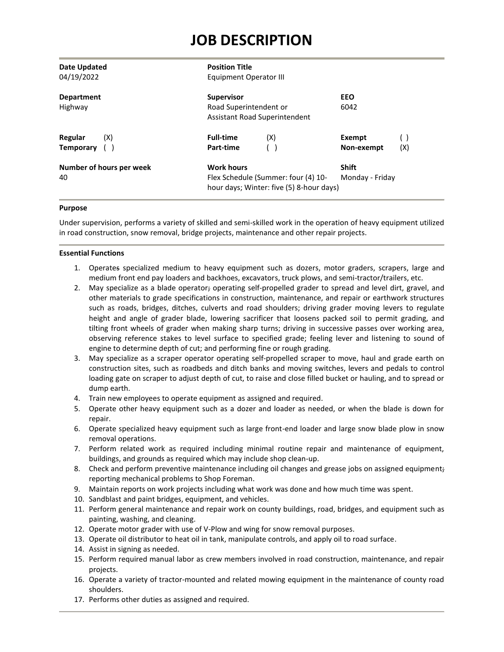# **JOB DESCRIPTION**

| Date Updated<br>04/19/2022              | <b>Position Title</b><br><b>Equipment Operator III</b>                                               |                                   |
|-----------------------------------------|------------------------------------------------------------------------------------------------------|-----------------------------------|
| Department<br>Highway                   | <b>Supervisor</b><br>Road Superintendent or<br>Assistant Road Superintendent                         | <b>EEO</b><br>6042                |
| (X)<br>Regular<br><b>Temporary</b><br>( | <b>Full-time</b><br>(X)<br>Part-time                                                                 | Exempt<br>()<br>(X)<br>Non-exempt |
| Number of hours per week<br>40          | <b>Work hours</b><br>Flex Schedule (Summer: four (4) 10-<br>hour days; Winter: five (5) 8-hour days) | <b>Shift</b><br>Monday - Friday   |

#### **Purpose**

Under supervision, performs a variety of skilled and semi-skilled work in the operation of heavy equipment utilized in road construction, snow removal, bridge projects, maintenance and other repair projects.

#### **Essential Functions**

- 1. Operates specialized medium to heavy equipment such as dozers, motor graders, scrapers, large and medium front end pay loaders and backhoes, excavators, truck plows, and semi-tractor/trailers, etc.
- 2. May specialize as a blade operator; operating self-propelled grader to spread and level dirt, gravel, and other materials to grade specifications in construction, maintenance, and repair or earthwork structures such as roads, bridges, ditches, culverts and road shoulders; driving grader moving levers to regulate height and angle of grader blade, lowering sacrificer that loosens packed soil to permit grading, and tilting front wheels of grader when making sharp turns; driving in successive passes over working area, observing reference stakes to level surface to specified grade; feeling lever and listening to sound of engine to determine depth of cut; and performing fine or rough grading.
- 3. May specialize as a scraper operator operating self-propelled scraper to move, haul and grade earth on construction sites, such as roadbeds and ditch banks and moving switches, levers and pedals to control loading gate on scraper to adjust depth of cut, to raise and close filled bucket or hauling, and to spread or dump earth.
- 4. Train new employees to operate equipment as assigned and required.
- 5. Operate other heavy equipment such as a dozer and loader as needed, or when the blade is down for repair.
- 6. Operate specialized heavy equipment such as large front-end loader and large snow blade plow in snow removal operations.
- 7. Perform related work as required including minimal routine repair and maintenance of equipment, buildings, and grounds as required which may include shop clean-up.
- 8. Check and perform preventive maintenance including oil changes and grease jobs on assigned equipment. reporting mechanical problems to Shop Foreman.
- 9. Maintain reports on work projects including what work was done and how much time was spent.
- 10. Sandblast and paint bridges, equipment, and vehicles.
- 11. Perform general maintenance and repair work on county buildings, road, bridges, and equipment such as painting, washing, and cleaning.
- 12. Operate motor grader with use of V-Plow and wing for snow removal purposes.
- 13. Operate oil distributor to heat oil in tank, manipulate controls, and apply oil to road surface.
- 14. Assist in signing as needed.
- 15. Perform required manual labor as crew members involved in road construction, maintenance, and repair projects.
- 16. Operate a variety of tractor-mounted and related mowing equipment in the maintenance of county road shoulders.
- 17. Performs other duties as assigned and required.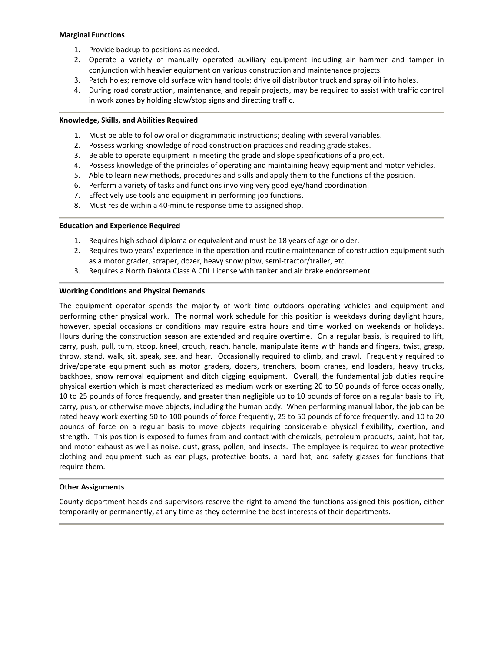#### **Marginal Functions**

- 1. Provide backup to positions as needed.
- 2. Operate a variety of manually operated auxiliary equipment including air hammer and tamper in conjunction with heavier equipment on various construction and maintenance projects.
- 3. Patch holes; remove old surface with hand tools; drive oil distributor truck and spray oil into holes.
- 4. During road construction, maintenance, and repair projects, may be required to assist with traffic control in work zones by holding slow/stop signs and directing traffic.

## **Knowledge, Skills, and Abilities Required**

- 1. Must be able to follow oral or diagrammatic instructions; dealing with several variables.
- 2. Possess working knowledge of road construction practices and reading grade stakes.
- 3. Be able to operate equipment in meeting the grade and slope specifications of a project.
- 4. Possess knowledge of the principles of operating and maintaining heavy equipment and motor vehicles.
- 5. Able to learn new methods, procedures and skills and apply them to the functions of the position.
- 6. Perform a variety of tasks and functions involving very good eye/hand coordination.
- 7. Effectively use tools and equipment in performing job functions.
- 8. Must reside within a 40-minute response time to assigned shop.

## **Education and Experience Required**

- 1. Requires high school diploma or equivalent and must be 18 years of age or older.
- 2. Requires two years' experience in the operation and routine maintenance of construction equipment such as a motor grader, scraper, dozer, heavy snow plow, semi-tractor/trailer, etc.
- 3. Requires a North Dakota Class A CDL License with tanker and air brake endorsement.

## **Working Conditions and Physical Demands**

The equipment operator spends the majority of work time outdoors operating vehicles and equipment and performing other physical work. The normal work schedule for this position is weekdays during daylight hours, however, special occasions or conditions may require extra hours and time worked on weekends or holidays. Hours during the construction season are extended and require overtime. On a regular basis, is required to lift, carry, push, pull, turn, stoop, kneel, crouch, reach, handle, manipulate items with hands and fingers, twist, grasp, throw, stand, walk, sit, speak, see, and hear. Occasionally required to climb, and crawl. Frequently required to drive/operate equipment such as motor graders, dozers, trenchers, boom cranes, end loaders, heavy trucks, backhoes, snow removal equipment and ditch digging equipment. Overall, the fundamental job duties require physical exertion which is most characterized as medium work or exerting 20 to 50 pounds of force occasionally, 10 to 25 pounds of force frequently, and greater than negligible up to 10 pounds of force on a regular basis to lift, carry, push, or otherwise move objects, including the human body. When performing manual labor, the job can be rated heavy work exerting 50 to 100 pounds of force frequently, 25 to 50 pounds of force frequently, and 10 to 20 pounds of force on a regular basis to move objects requiring considerable physical flexibility, exertion, and strength. This position is exposed to fumes from and contact with chemicals, petroleum products, paint, hot tar, and motor exhaust as well as noise, dust, grass, pollen, and insects. The employee is required to wear protective clothing and equipment such as ear plugs, protective boots, a hard hat, and safety glasses for functions that require them.

## **Other Assignments**

County department heads and supervisors reserve the right to amend the functions assigned this position, either temporarily or permanently, at any time as they determine the best interests of their departments.